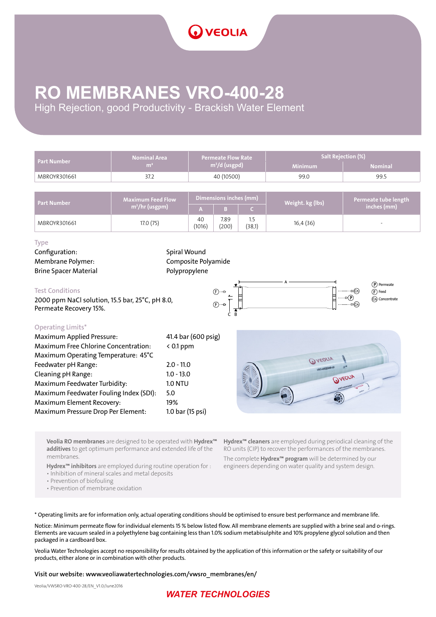### **RO MEMBRANES VRO-400-28**

High Rejection, good Productivity - Brackish Water Element

| <b>Part Number</b> | <b>Nominal Area</b>               | l Permeate Flow Rate $^{\backprime}$ | <b>Salt Rejection (%)</b> |                |  |  |
|--------------------|-----------------------------------|--------------------------------------|---------------------------|----------------|--|--|
|                    | $m^3/d$ (usgpd)<br>m <sup>2</sup> |                                      | <b>Minimum</b>            | <b>Nominal</b> |  |  |
| MBROYR301661       | 37.z                              | 40 (10500)                           | 99.0                      | 99.5           |  |  |

| <b>Part Number</b> | <b>Maximum Feed Flow</b> | Dimensions inches (mm) |               |               | Weight. kg (lbs) | Permeate tube length |
|--------------------|--------------------------|------------------------|---------------|---------------|------------------|----------------------|
|                    | $m^3$ /hr (usgpm)        |                        |               |               |                  | inches (mm)          |
| MBROYR301661       | 17.0 (75)                | 40<br>(1016)           | 7.89<br>(200) | 1.5<br>(38,1) | 16,4 (36)        | -                    |

#### Type

Configuration: Spiral Wound Membrane Polymer: Composite Polyamide Brine Spacer Material **Polypropylene** 

#### Test Conditions

2000 ppm NaCl solution, 15.5 bar, 25°C, pH 8.0, Permeate Recovery 15%.



#### Operating Limits\*

| <b>Maximum Applied Pressure:</b>       | 41.4 bar (600 psig) |
|----------------------------------------|---------------------|
| Maximum Free Chlorine Concentration:   | $< 0.1$ ppm         |
| Maximum Operating Temperature: 45°C    |                     |
| Feedwater pH Range:                    | $2.0 - 11.0$        |
| Cleaning pH Range:                     | $1.0 - 13.0$        |
| Maximum Feedwater Turbidity:           | <b>1.0 NTU</b>      |
| Maximum Feedwater Fouling Index (SDI): | 5.0                 |
| <b>Maximum Element Recovery:</b>       | 19%                 |
| Maximum Pressure Drop Per Element:     | 1.0 bar (15 psi)    |
|                                        |                     |

**QVEOLIA OVEDLIA** 

Veolia RO membranes are designed to be operated with Hydrex<sup>™</sup> additives to get optimum performance and extended life of the membranes.

Hydrex<sup>™</sup> inhibitors are employed during routine operation for :

• Inhibition of mineral scales and metal deposits

• Prevention of biofouling

• Prevention of membrane oxidation

Hydrex<sup>™</sup> cleaners are employed during periodical cleaning of the RO units (CIP) to recover the performances of the membranes.

The complete Hydrex<sup>™</sup> program will be determined by our engineers depending on water quality and system design.

\* Operating limits are for information only, actual operating conditions should be optimised to ensure best performance and membrane life.

Notice: Minimum permeate flow for individual elements 15 % below listed flow. All membrane elements are supplied with a brine seal and o-rings. Elements are vacuum sealed in a polyethylene bag containing less than 1.0% sodium metabisulphite and 10% propylene glycol solution and then packaged in a cardboard box.

Veolia Water Technologies accept no responsibility for results obtained by the application of this information or the safety or suitability of our products, either alone or in combination with other products.

Visit our website: www.veoliawatertechnologies.com/vwsro\_membranes/en/

Veolia/VWSRO-VRO-400-28/EN\_V1.0/June2016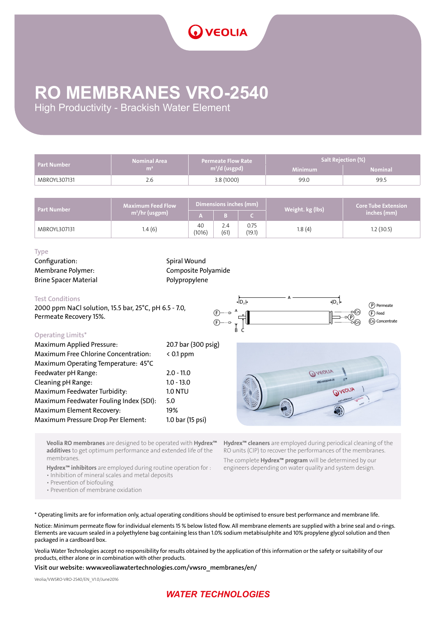# **RO MEMBRANES VRO-2540**

High Productivity - Brackish Water Element

| <b>Part Number</b> | Nominal Area   | <b>Permeate Flow Rate</b>         | <b>Salt Rejection (%)</b> , |                |  |
|--------------------|----------------|-----------------------------------|-----------------------------|----------------|--|
|                    | m <sup>2</sup> | $\mathsf{m}^3/\mathsf{d}$ (usgpd) | <b>Minimum</b>              | <b>Nominal</b> |  |
| MBROYL307131       | 2.6            | 3.8(1000)                         | 99.0                        | 99.5           |  |

| <b>Part Number</b> | $Maximum$ Feed Flow $M$    | Dimensions inches (mm) |             |                | Weight. kg (lbs) | <b>Core Tube Extension</b> |
|--------------------|----------------------------|------------------------|-------------|----------------|------------------|----------------------------|
|                    | m <sup>3</sup> /hr (usgpm) |                        |             |                |                  | inches (mm)                |
| MBROYL307131       | 1.4(6)                     | 40<br>(1016)           | 2.4<br>(61) | 0.75<br>(19.1) | 1.8(4)           | 1.2(30.5)                  |

#### Type

Configuration: Spiral Wound Brine Spacer Material **Polypropylene** 

Membrane Polymer: Composite Polyamide

#### Test Conditions

2000 ppm NaCl solution, 15.5 bar, 25°C, pH 6.5 - 7.0, Permeate Recovery 15%.



#### Operating Limits\*

| <b>Maximum Applied Pressure:</b>       | 20.7 bar (300 psig) |
|----------------------------------------|---------------------|
| Maximum Free Chlorine Concentration:   | $< 0.1$ ppm         |
| Maximum Operating Temperature: 45°C    |                     |
| Feedwater pH Range:                    | $2.0 - 11.0$        |
| Cleaning pH Range:                     | $1.0 - 13.0$        |
| Maximum Feedwater Turbidity:           | <b>1.0 NTU</b>      |
| Maximum Feedwater Fouling Index (SDI): | 5.0                 |
| Maximum Element Recovery:              | 19%                 |
| Maximum Pressure Drop Per Element:     | 1.0 bar (15 psi)    |



Veolia RO membranes are designed to be operated with Hydrex<sup>™</sup> additives to get optimum performance and extended life of the membranes.

Hydrex<sup>™</sup> inhibitors are employed during routine operation for :

• Inhibition of mineral scales and metal deposits

• Prevention of biofouling

• Prevention of membrane oxidation

Hydrex<sup>™</sup> cleaners are employed during periodical cleaning of the RO units (CIP) to recover the performances of the membranes.

The complete Hydrex<sup>™</sup> program will be determined by our engineers depending on water quality and system design.

\* Operating limits are for information only, actual operating conditions should be optimised to ensure best performance and membrane life.

Notice: Minimum permeate flow for individual elements 15 % below listed flow. All membrane elements are supplied with a brine seal and o-rings. Elements are vacuum sealed in a polyethylene bag containing less than 1.0% sodium metabisulphite and 10% propylene glycol solution and then packaged in a cardboard box.

Veolia Water Technologies accept no responsibility for results obtained by the application of this information or the safety or suitability of our products, either alone or in combination with other products.

Visit our website: www.veoliawatertechnologies.com/vwsro\_membranes/en/

Veolia/VWSRO-VRO-2540/EN\_V1.0/June2016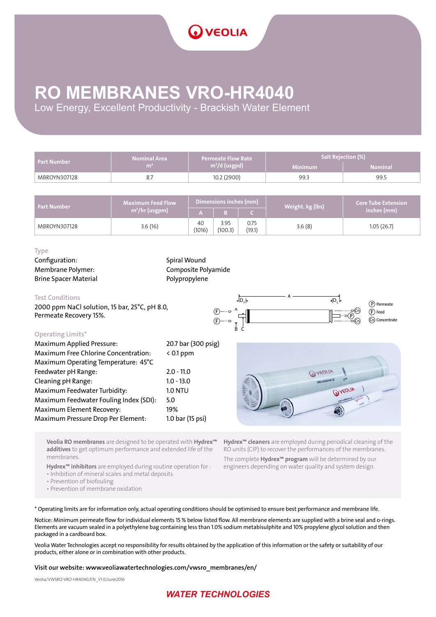### **RO MEMBRANES VRO-HR4040**

Low Energy, Excellent Productivity - Brackish Water Element

| <b>Part Number</b> | <b>Nominal Area</b> | Permeate Flow Rate | Salt Rejection (%) |                |  |  |
|--------------------|---------------------|--------------------|--------------------|----------------|--|--|
|                    | m <sup>2</sup>      | $m^3/d$ (usgpd)    | <b>Minimum</b>     | <b>Nominal</b> |  |  |
| MBROYN307128       |                     | 10.2 (2900)        | 99.3               | 99.5           |  |  |

| <b>Part Number</b> | $Maximum$ Feed Flow $M$    | Dimensions inches (mm) |                 |                | Weight. kg (lbs) | <b>Core Tube Extension</b> |
|--------------------|----------------------------|------------------------|-----------------|----------------|------------------|----------------------------|
|                    | m <sup>3</sup> /hr (usgpm) |                        |                 |                |                  | inches (mm)                |
| MBROYN307128       | 3.6(16)                    | 40<br>(1016)           | 3.95<br>(100.3) | 0.75<br>(19.1) | 3.6(8)           | 1.05(26.7)                 |

#### Type

Configuration: Spiral Wound Brine Spacer Material **Polypropylene** 

Membrane Polymer: Composite Polyamide

#### Test Conditions

2000 ppm NaCl solution, 15 bar, 25°C, pH 8.0, Permeate Recovery 15%.



| <b>Operating Limits*</b>               |                     |
|----------------------------------------|---------------------|
| <b>Maximum Applied Pressure:</b>       | 20.7 bar (300 psig) |
| Maximum Free Chlorine Concentration:   | $< 0.1$ ppm         |
| Maximum Operating Temperature: 45°C    |                     |
| Feedwater pH Range:                    | $2.0 - 11.0$        |
| Cleaning pH Range:                     | $1.0 - 13.0$        |
| Maximum Feedwater Turbidity:           | <b>1.0 NTU</b>      |
| Maximum Feedwater Fouling Index (SDI): | 5.0                 |
| Maximum Element Recovery:              | 19%                 |
| Maximum Pressure Drop Per Element:     | 1.0 bar (15 psi)    |
|                                        |                     |



Veolia RO membranes are designed to be operated with Hydrex<sup>™</sup> additives to get optimum performance and extended life of the membranes.

Hydrex<sup>™</sup> inhibitors are employed during routine operation for :

• Inhibition of mineral scales and metal deposits

• Prevention of biofouling

• Prevention of membrane oxidation

Hydrex<sup>™</sup> cleaners are employed during periodical cleaning of the RO units (CIP) to recover the performances of the membranes. The complete Hydrex™ program will be determined by our engineers depending on water quality and system design.

\* Operating limits are for information only, actual operating conditions should be optimised to ensure best performance and membrane life.

Notice: Minimum permeate flow for individual elements 15 % below listed flow. All membrane elements are supplied with a brine seal and o-rings. Elements are vacuum sealed in a polyethylene bag containing less than 1.0% sodium metabisulphite and 10% propylene glycol solution and then packaged in a cardboard box.

Veolia Water Technologies accept no responsibility for results obtained by the application of this information or the safety or suitability of our products, either alone or in combination with other products.

#### Visit our website: www.veoliawatertechnologies.com/vwsro\_membranes/en/

Veolia/VWSRO-VRO-HR4040/EN\_V1.0/June2016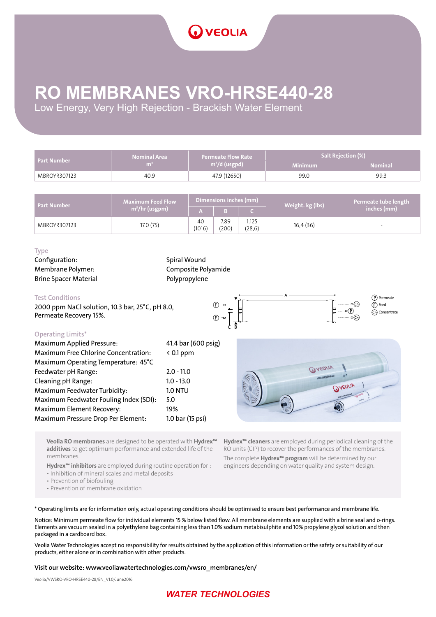# **RO MEMBRANES VRO-HRSE440-28**

Low Energy, Very High Rejection - Brackish Water Element

| <b>Part Number</b> | Permeate Flow Rate<br>Nominal Area |                 | <b>Salt Rejection (%)</b> |                |  |  |
|--------------------|------------------------------------|-----------------|---------------------------|----------------|--|--|
|                    | m                                  | $m^3/d$ (usgpd) | <b>Minimum</b>            | <b>Nominal</b> |  |  |
| MBROYR307123       | 40.9                               | 47.9 (12650)    | 99.0                      | 99.3           |  |  |

| <b>Part Number</b> | <b>Maximum Feed Flow</b>   | Dimensions inches (mm) |               |                  | Weight. kg (lbs) | Permeate tube length |
|--------------------|----------------------------|------------------------|---------------|------------------|------------------|----------------------|
|                    | m <sup>3</sup> /hr (usgpm) |                        |               |                  |                  | inches (mm)          |
| MBROYR307123       | 17.0 (75)                  | 40<br>(1016)           | 7.89<br>(200) | 1.125<br>(28, 6) | 16,4 (36)        | -                    |

#### Type

Configuration: Spiral Wound Brine Spacer Material **Polypropylene** 

Membrane Polymer: Composite Polyamide

#### Test Conditions

2000 ppm NaCl solution, 10.3 bar, 25°C, pH 8.0, Permeate Recovery 15%.



### Operating Limits\*

| <b>Maximum Applied Pressure:</b>            | 41.4 bar (600 psig) |
|---------------------------------------------|---------------------|
| <b>Maximum Free Chlorine Concentration:</b> | $< 0.1$ ppm         |
| Maximum Operating Temperature: 45°C         |                     |
| Feedwater pH Range:                         | $2.0 - 11.0$        |
| Cleaning pH Range:                          | $1.0 - 13.0$        |
| Maximum Feedwater Turbidity:                | <b>1.0 NTU</b>      |
| Maximum Feedwater Fouling Index (SDI):      | 5.0                 |
| Maximum Element Recovery:                   | 19%                 |
| Maximum Pressure Drop Per Element:          | 1.0 bar (15 psi)    |



Veolia RO membranes are designed to be operated with Hydrex<sup>™</sup> additives to get optimum performance and extended life of the membranes.

Hydrex<sup>™</sup> inhibitors are employed during routine operation for :

• Inhibition of mineral scales and metal deposits

• Prevention of biofouling

• Prevention of membrane oxidation

Hydrex<sup>™</sup> cleaners are employed during periodical cleaning of the RO units (CIP) to recover the performances of the membranes. The complete Hydrex<sup>™</sup> program will be determined by our engineers depending on water quality and system design.

\* Operating limits are for information only, actual operating conditions should be optimised to ensure best performance and membrane life.

Notice: Minimum permeate flow for individual elements 15 % below listed flow. All membrane elements are supplied with a brine seal and o-rings. Elements are vacuum sealed in a polyethylene bag containing less than 1.0% sodium metabisulphite and 10% propylene glycol solution and then packaged in a cardboard box.

Veolia Water Technologies accept no responsibility for results obtained by the application of this information or the safety or suitability of our products, either alone or in combination with other products.

#### Visit our website: www.veoliawatertechnologies.com/vwsro\_membranes/en/

Veolia/VWSRO-VRO-HRSE440-28/EN\_V1.0/June2016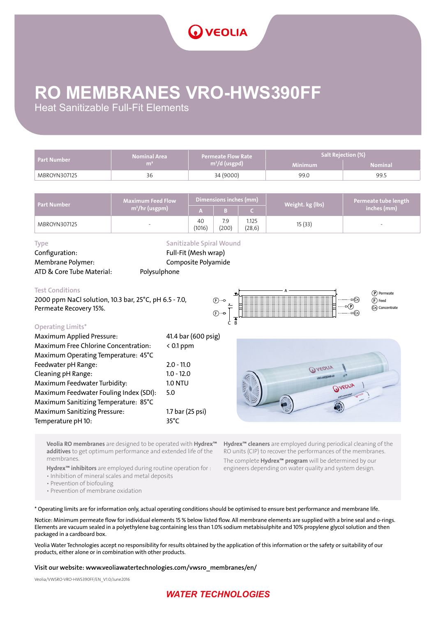# **RO MEMBRANES VRO-HWS390FF**

Heat Sanitizable Full-Fit Elements

| Part Number  | <b>Nominal Area</b> | <b>Permeate Flow Rate</b> | <b>Salt Rejection (%)</b> |                |  |
|--------------|---------------------|---------------------------|---------------------------|----------------|--|
|              | m <sub>i</sub>      | $m^3/d$ (usgpd)           | <b>Minimum</b>            | <b>Nominal</b> |  |
| MBROYN307125 | 36                  | 34 (9000)                 | 99.0                      | 99.5           |  |

| <b>Part Number</b> | $\blacksquare$ Maximum Feed Flow $\blacksquare$ | Dimensions inches (mm) |              |                  | Weight. kg (lbs) | Permeate tube length |
|--------------------|-------------------------------------------------|------------------------|--------------|------------------|------------------|----------------------|
|                    | m <sup>3</sup> /hr (usgpm)                      |                        |              |                  |                  | inches (mm)          |
| MBROYN307125       | $\overline{\phantom{0}}$                        | 40<br>(1016)           | 7.9<br>(200) | 1.125<br>(28, 6) | 15(33)           | -                    |

Configuration: Full-Fit (Mesh wrap) Membrane Polymer: Composite Polyamide ATD & Core Tube Material: Polysulphone

Type **Sanitizable Spiral Wound** 

#### Test Conditions

2000 ppm NaCl solution, 10.3 bar, 25°C, pH 6.5 - 7.0, Permeate Recovery 15%.



| <b>Operating Limits*</b>                    |                     |
|---------------------------------------------|---------------------|
| <b>Maximum Applied Pressure:</b>            | 41.4 bar (600 psig) |
| <b>Maximum Free Chlorine Concentration:</b> | $< 0.1$ ppm         |
| Maximum Operating Temperature: 45°C         |                     |
| Feedwater pH Range:                         | $2.0 - 11.0$        |
| Cleaning pH Range:                          | $1.0 - 12.0$        |
| Maximum Feedwater Turbidity:                | <b>1.0 NTU</b>      |
| Maximum Feedwater Fouling Index (SDI):      | 5.0                 |
| Maximum Sanitizing Temperature: 85°C        |                     |
| <b>Maximum Sanitizing Pressure:</b>         | 1.7 bar (25 psi)    |
| Temperature pH 10:                          | $35^{\circ}$ C      |



Veolia RO membranes are designed to be operated with Hydrex<sup>™</sup> additives to get optimum performance and extended life of the membranes.

Hydrex<sup>™</sup> inhibitors are employed during routine operation for :

• Inhibition of mineral scales and metal deposits

• Prevention of biofouling

• Prevention of membrane oxidation

Hydrex<sup>™</sup> cleaners are employed during periodical cleaning of the RO units (CIP) to recover the performances of the membranes.

The complete Hydrex<sup>™</sup> program will be determined by our engineers depending on water quality and system design.

\* Operating limits are for information only, actual operating conditions should be optimised to ensure best performance and membrane life.

Notice: Minimum permeate flow for individual elements 15 % below listed flow. All membrane elements are supplied with a brine seal and o-rings. Elements are vacuum sealed in a polyethylene bag containing less than 1.0% sodium metabisulphite and 10% propylene glycol solution and then packaged in a cardboard box.

Veolia Water Technologies accept no responsibility for results obtained by the application of this information or the safety or suitability of our products, either alone or in combination with other products.

#### Visit our website: www.veoliawatertechnologies.com/vwsro\_membranes/en/

Veolia/VWSRO-VRO-HWS390FF/EN\_V1.0/June2016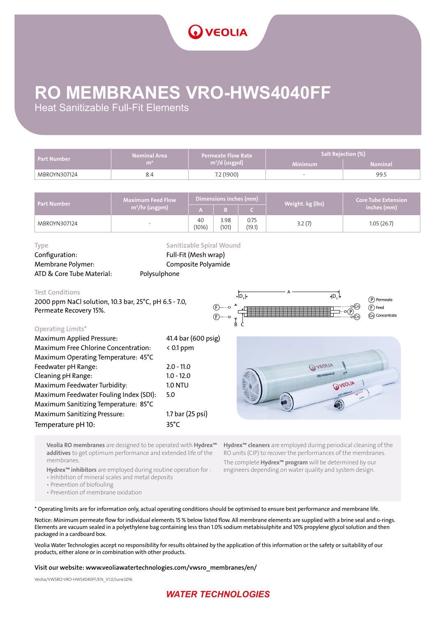# **RO MEMBRANES VRO-HWS4040FF**

Heat Sanitizable Full-Fit Elements

| <b>Part Number</b> | <b>Nominal Area</b><br>Permeate Flow Rate |                           | Salt Rejection (%)       |                |  |
|--------------------|-------------------------------------------|---------------------------|--------------------------|----------------|--|
|                    | m                                         | m <sup>3</sup> /d (usgpd) | <b>Minimum</b>           | <b>Nominal</b> |  |
| MBROYN307124       |                                           | 7.2 (1900)                | $\overline{\phantom{a}}$ | 99.5           |  |

| <b>Part Number</b> | Maximum Feed Flow ' | Dimensions inches (mm) |               |                | Weight. kg (lbs) | Core Tube Extension |
|--------------------|---------------------|------------------------|---------------|----------------|------------------|---------------------|
|                    | $m^3$ /hr (usgpm)   |                        |               |                |                  | inches (mm)         |
| MBROYN307124       | -                   | 40<br>(1016)           | 3.98<br>(101) | 0.75<br>(19.1) | 3.2(7)           | 1.05(26.7)          |

Configuration: Full-Fit (Mesh wrap) Membrane Polymer: Composite Polyamide ATD & Core Tube Material: Polysulphone

# Type **Sanitizable Spiral Wound**

Test Conditions

2000 ppm NaCl solution, 10.3 bar, 25°C, pH 6.5 - 7.0, Permeate Recovery 15%.



**OVEDLIA** 

**OVEDLIA** 

#### Operating Limits\*

| <b>Maximum Applied Pressure:</b>       | 41.4 bar (600 psig) |
|----------------------------------------|---------------------|
| Maximum Free Chlorine Concentration:   | $< 0.1$ ppm         |
| Maximum Operating Temperature: 45°C    |                     |
| Feedwater pH Range:                    | $2.0 - 11.0$        |
| Cleaning pH Range:                     | $1.0 - 12.0$        |
| Maximum Feedwater Turbidity:           | <b>1.0 NTU</b>      |
| Maximum Feedwater Fouling Index (SDI): | 5.0                 |
| Maximum Sanitizing Temperature: 85°C   |                     |
| <b>Maximum Sanitizing Pressure:</b>    | 1.7 bar (25 psi)    |
| Temperature pH 10:                     | $35^{\circ}$ C      |
|                                        |                     |



Veolia RO membranes are designed to be operated with Hydrex<sup>™</sup> additives to get optimum performance and extended life of the membranes.

Hydrex<sup>™</sup> inhibitors are employed during routine operation for :

• Inhibition of mineral scales and metal deposits

• Prevention of biofouling

• Prevention of membrane oxidation

\* Operating limits are for information only, actual operating conditions should be optimised to ensure best performance and membrane life.

Notice: Minimum permeate flow for individual elements 15 % below listed flow. All membrane elements are supplied with a brine seal and o-rings. Elements are vacuum sealed in a polyethylene bag containing less than 1.0% sodium metabisulphite and 10% propylene glycol solution and then packaged in a cardboard box.

Veolia Water Technologies accept no responsibility for results obtained by the application of this information or the safety or suitability of our products, either alone or in combination with other products.

#### Visit our website: www.veoliawatertechnologies.com/vwsro\_membranes/en/

Veolia/VWSRO-VRO-HWS4040FF/EN\_V1.0/June2016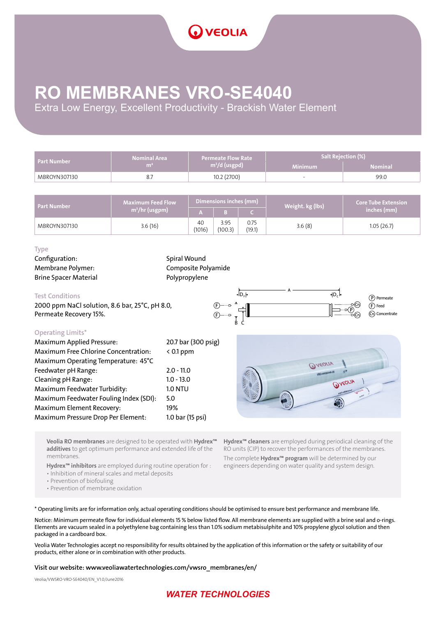

### **RO MEMBRANES VRO-SE4040**

Extra Low Energy, Excellent Productivity - Brackish Water Element

| Part Number  | <b>Nominal Area</b> | <b>Permeate Flow Rate</b>               | Salt Rejection (%)       |                |  |  |
|--------------|---------------------|-----------------------------------------|--------------------------|----------------|--|--|
|              | m <sup>2</sup>      | $\frac{1}{2}$ m <sup>3</sup> /d (usgpd) | <b>Minimum</b>           | <b>Nominal</b> |  |  |
| MBROYN307130 | 8.,                 | 10.2 (2700)                             | $\overline{\phantom{0}}$ | 99.0           |  |  |

| <b>Part Number</b> | Maximum Feed Flow '        | Dimensions inches (mm) |                 |                | Weight. kg (lbs) | <b>Core Tube Extension</b> |
|--------------------|----------------------------|------------------------|-----------------|----------------|------------------|----------------------------|
|                    | m <sup>3</sup> /hr (usgpm) |                        |                 |                |                  | inches (mm)                |
| MBROYN307130       | 3.6(16)                    | 40<br>(1016)           | 3.95<br>(100.3) | 0.75<br>(19.1) | 3.6(8)           | 1.05(26.7)                 |

#### Type

Configuration: Spiral Wound Brine Spacer Material **Polypropylene** 

Membrane Polymer: Composite Polyamide

#### Test Conditions

2000 ppm NaCl solution, 8.6 bar, 25°C, pH 8.0, Permeate Recovery 15%.



#### Operating Limits\*

| <b>Maximum Applied Pressure:</b>       | 20.7 bar (300 psig) |
|----------------------------------------|---------------------|
| Maximum Free Chlorine Concentration:   | $< 0.1$ ppm         |
| Maximum Operating Temperature: 45°C    |                     |
| Feedwater pH Range:                    | $2.0 - 11.0$        |
| Cleaning pH Range:                     | $1.0 - 13.0$        |
| Maximum Feedwater Turbidity:           | <b>1.0 NTU</b>      |
| Maximum Feedwater Fouling Index (SDI): | 5.0                 |
| Maximum Element Recovery:              | 19%                 |
| Maximum Pressure Drop Per Element:     | 1.0 bar (15 psi)    |



Veolia RO membranes are designed to be operated with Hydrex<sup>™</sup> additives to get optimum performance and extended life of the membranes.

Hydrex<sup>™</sup> inhibitors are employed during routine operation for :

• Inhibition of mineral scales and metal deposits

• Prevention of biofouling

• Prevention of membrane oxidation

Hydrex<sup>™</sup> cleaners are employed during periodical cleaning of the RO units (CIP) to recover the performances of the membranes. The complete Hydrex<sup>™</sup> program will be determined by our engineers depending on water quality and system design.

\* Operating limits are for information only, actual operating conditions should be optimised to ensure best performance and membrane life.

Notice: Minimum permeate flow for individual elements 15 % below listed flow. All membrane elements are supplied with a brine seal and o-rings. Elements are vacuum sealed in a polyethylene bag containing less than 1.0% sodium metabisulphite and 10% propylene glycol solution and then packaged in a cardboard box.

Veolia Water Technologies accept no responsibility for results obtained by the application of this information or the safety or suitability of our products, either alone or in combination with other products.

#### Visit our website: www.veoliawatertechnologies.com/vwsro\_membranes/en/

Veolia/VWSRO-VRO-SE4040/EN\_V1.0/June2016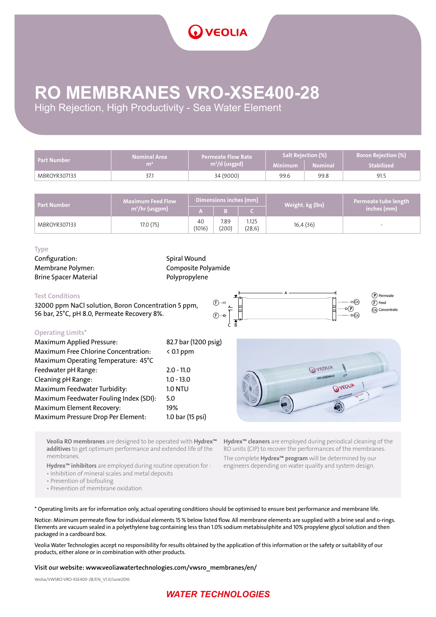# **RO MEMBRANES VRO-XSE400-28**

High Rejection, High Productivity - Sea Water Element

| Part Number  | <b>Nominal Area</b><br>m | <b>Permeate Flow Rate</b><br>$m^3/d$ (usgpd) | Minimum | Salt Rejection (%)<br><b>Nominal</b> | <b>Boron Rejection (%)</b><br><b>Stabilized</b> |
|--------------|--------------------------|----------------------------------------------|---------|--------------------------------------|-------------------------------------------------|
| MBROYR307133 | 37.1                     | 34 (9000)                                    | 99.6    | 99.8                                 | 91.5                                            |

| Part Number  | $\blacksquare$ Maximum Feed Flow $\nabla$ | Dimensions inches (mm) |               |                  | Weight. kg (lbs) | Permeate tube length |
|--------------|-------------------------------------------|------------------------|---------------|------------------|------------------|----------------------|
|              | $\langle m^3/hr (usgpm) \rangle$          |                        |               |                  |                  | inches (mm)          |
| MBROYR307133 | 17.0 (75)                                 | 40<br>(1016)           | 7.89<br>(200) | 1.125<br>(28, 6) | 16,4(36)         | -                    |

#### Type

Configuration: Spiral Wound Brine Spacer Material **Polypropylene** 

Membrane Polymer: Composite Polyamide

#### Test Conditions

32000 ppm NaCl solution, Boron Concentration 5 ppm, 56 bar, 25°C, pH 8.0, Permeate Recovery 8%.



#### Operating Limits\*

| <b>Maximum Applied Pressure:</b>       | 82.7 bar (1200 psig) |
|----------------------------------------|----------------------|
| Maximum Free Chlorine Concentration:   | $< 0.1$ ppm          |
| Maximum Operating Temperature: 45°C    |                      |
| Feedwater pH Range:                    | $2.0 - 11.0$         |
| Cleaning pH Range:                     | $1.0 - 13.0$         |
| Maximum Feedwater Turbidity:           | <b>1.0 NTU</b>       |
| Maximum Feedwater Fouling Index (SDI): | 5.0                  |
| Maximum Element Recovery:              | 19%                  |
| Maximum Pressure Drop Per Element:     | 1.0 bar (15 psi)     |
|                                        |                      |



Veolia RO membranes are designed to be operated with Hydrex<sup>™</sup> additives to get optimum performance and extended life of the membranes.

Hydrex<sup>™</sup> inhibitors are employed during routine operation for :

• Inhibition of mineral scales and metal deposits

• Prevention of biofouling

• Prevention of membrane oxidation

Hydrex<sup>™</sup> cleaners are employed during periodical cleaning of the RO units (CIP) to recover the performances of the membranes. The complete Hydrex<sup>™</sup> program will be determined by our engineers depending on water quality and system design.

\* Operating limits are for information only, actual operating conditions should be optimised to ensure best performance and membrane life.

Notice: Minimum permeate flow for individual elements 15 % below listed flow. All membrane elements are supplied with a brine seal and o-rings. Elements are vacuum sealed in a polyethylene bag containing less than 1.0% sodium metabisulphite and 10% propylene glycol solution and then packaged in a cardboard box.

Veolia Water Technologies accept no responsibility for results obtained by the application of this information or the safety or suitability of our products, either alone or in combination with other products.

#### Visit our website: www.veoliawatertechnologies.com/vwsro\_membranes/en/

Veolia/VWSRO-VRO-XSE400-28/EN\_V1.0/June2016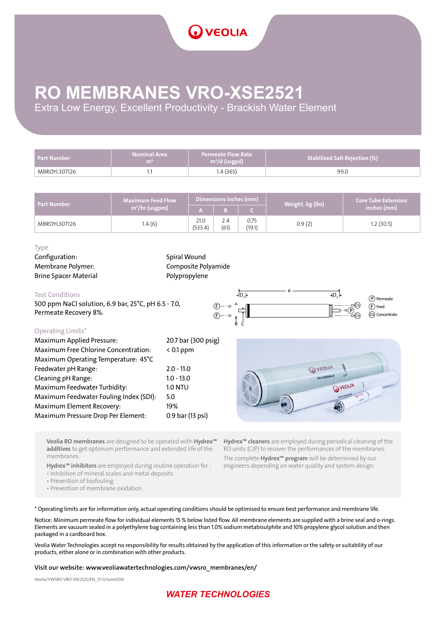

### **RO MEMBRANES VRO-XSE2521**

Extra Low Energy, Excellent Productivity - Brackish Water Element

| <b>Part Number</b> | <b>Nominal Area</b><br>m <sub>i</sub> | <b>Permeate Flow Rate</b><br>$m^3/d$ (usgpd) | Stabilized Salt Rejection (%) |
|--------------------|---------------------------------------|----------------------------------------------|-------------------------------|
| MBROYL307126       |                                       | I.4 (365)                                    | 99.0                          |

| <b>Part Number</b> | <b>Maximum Feed Flow</b>   |                 | Dimensions inches (mm) |                | Core Tube Extension <b>\</b><br>Weight. kg (lbs) |             |
|--------------------|----------------------------|-----------------|------------------------|----------------|--------------------------------------------------|-------------|
|                    | m <sup>3</sup> /hr (usgpm) |                 |                        |                |                                                  | inches (mm) |
| MBROYL307126       | 1.4(6)                     | 21.0<br>(533.4) | $2.4^{\circ}$<br>(61)  | 0.75<br>(19.1) | 0.9(2)                                           | .2(30.5)    |

#### Type

Configuration: Spiral Wound Brine Spacer Material **Polypropylene** 

Membrane Polymer: Composite Polyamide

#### Test Conditions

500 ppm NaCl solution, 6.9 bar, 25°C, pH 6.5 - 7.0, Permeate Recovery 8%.



#### Operating Limits\*

| <b>Maximum Applied Pressure:</b>       | 20.7 bar (300 psig) |
|----------------------------------------|---------------------|
| Maximum Free Chlorine Concentration:   | $< 0.1$ ppm         |
| Maximum Operating Temperature: 45°C    |                     |
| Feedwater pH Range:                    | $2.0 - 11.0$        |
| Cleaning pH Range:                     | $1.0 - 13.0$        |
| Maximum Feedwater Turbidity:           | <b>1.0 NTU</b>      |
| Maximum Feedwater Fouling Index (SDI): | 5.0                 |
| Maximum Element Recovery:              | 19%                 |
| Maximum Pressure Drop Per Element:     | 0.9 bar (13 psi)    |



Veolia RO membranes are designed to be operated with Hydrex<sup>™</sup> additives to get optimum performance and extended life of the membranes.

Hydrex<sup>™</sup> inhibitors are employed during routine operation for :

• Inhibition of mineral scales and metal deposits

• Prevention of biofouling

• Prevention of membrane oxidation

Hydrex<sup>™</sup> cleaners are employed during periodical cleaning of the RO units (CIP) to recover the performances of the membranes. The complete Hydrex<sup>™</sup> program will be determined by our engineers depending on water quality and system design.

\* Operating limits are for information only, actual operating conditions should be optimised to ensure best performance and membrane life.

Notice: Minimum permeate flow for individual elements 15 % below listed flow. All membrane elements are supplied with a brine seal and o-rings. Elements are vacuum sealed in a polyethylene bag containing less than 1.0% sodium metabisulphite and 10% propylene glycol solution and then packaged in a cardboard box.

Veolia Water Technologies accept no responsibility for results obtained by the application of this information or the safety or suitability of our products, either alone or in combination with other products.

#### Visit our website: www.veoliawatertechnologies.com/vwsro\_membranes/en/

Veolia/VWSRO-VRO-XSE2521/EN\_V1.0/June2016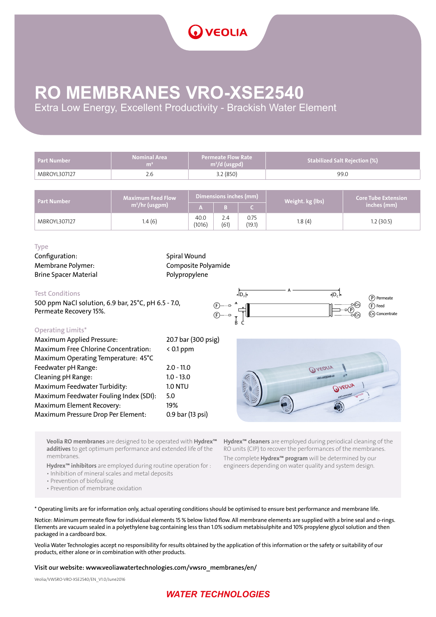### **RO MEMBRANES VRO-XSE2540**

Extra Low Energy, Excellent Productivity - Brackish Water Element

| <b>Part Number</b> | <b>Nominal Area</b><br>m <sup>2</sup> | <b>Permeate Flow Rate</b><br>$m^3/d$ (usgpd) |             |                | <b>Stabilized Salt Rejection (%)</b> |                            |
|--------------------|---------------------------------------|----------------------------------------------|-------------|----------------|--------------------------------------|----------------------------|
| MBROYL307127       | 2.6                                   | 3.2(850)                                     |             |                | 99.0                                 |                            |
|                    |                                       |                                              |             |                |                                      |                            |
| <b>Part Number</b> | <b>Maximum Feed Flow</b>              | Dimensions inches (mm)                       |             |                | Weight. kg (lbs)                     | <b>Core Tube Extension</b> |
|                    | $m^3$ /hr (usgpm)                     | IA.                                          | в           | $\epsilon$     |                                      | inches (mm)                |
| MBROYL307127       | 1.4(6)                                | 40.0<br>(1016)                               | 2.4<br>(61) | 0.75<br>(19.1) | 1.8(4)                               | 1.2(30.5)                  |

#### Type

Configuration: Spiral Wound Brine Spacer Material **Polypropylene** 

Membrane Polymer: Composite Polyamide

#### Test Conditions

500 ppm NaCl solution, 6.9 bar, 25°C, pH 6.5 - 7.0, Permeate Recovery 15%.



#### Operating Limits\*

| Maximum Free Chlorine Concentration:<br>Maximum Operating Temperature: 45°C<br>Feedwater pH Range:<br>Cleaning pH Range: | $< 0.1$ ppm      |
|--------------------------------------------------------------------------------------------------------------------------|------------------|
|                                                                                                                          |                  |
|                                                                                                                          |                  |
|                                                                                                                          | $2.0 - 11.0$     |
|                                                                                                                          | $1.0 - 13.0$     |
| Maximum Feedwater Turbidity:                                                                                             | <b>1.0 NTU</b>   |
| Maximum Feedwater Fouling Index (SDI):<br>5.0                                                                            |                  |
| Maximum Element Recovery:                                                                                                | 19%              |
| Maximum Pressure Drop Per Element:                                                                                       | 0.9 bar (13 psi) |



Veolia RO membranes are designed to be operated with Hydrex<sup>™</sup> additives to get optimum performance and extended life of the membranes.

Hydrex<sup>™</sup> inhibitors are employed during routine operation for :

• Inhibition of mineral scales and metal deposits

• Prevention of biofouling

• Prevention of membrane oxidation

Hydrex<sup>™</sup> cleaners are employed during periodical cleaning of the RO units (CIP) to recover the performances of the membranes. The complete Hydrex<sup>™</sup> program will be determined by our engineers depending on water quality and system design.

\* Operating limits are for information only, actual operating conditions should be optimised to ensure best performance and membrane life.

Notice: Minimum permeate flow for individual elements 15 % below listed flow. All membrane elements are supplied with a brine seal and o-rings. Elements are vacuum sealed in a polyethylene bag containing less than 1.0% sodium metabisulphite and 10% propylene glycol solution and then packaged in a cardboard box.

Veolia Water Technologies accept no responsibility for results obtained by the application of this information or the safety or suitability of our products, either alone or in combination with other products.

#### Visit our website: www.veoliawatertechnologies.com/vwsro\_membranes/en/

Veolia/VWSRO-VRO-XSE2540/EN\_V1.0/June2016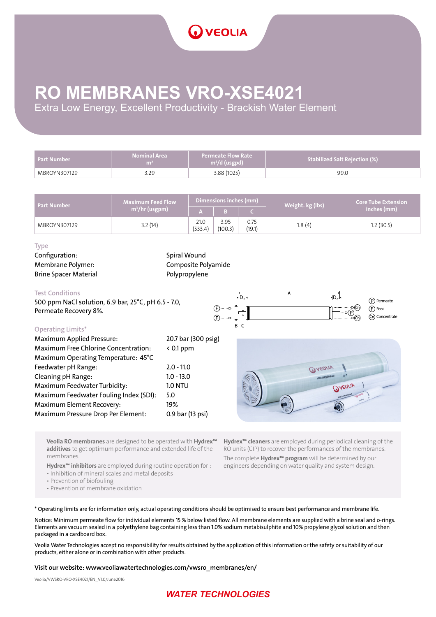# **RO MEMBRANES VRO-XSE4021**

Extra Low Energy, Excellent Productivity - Brackish Water Element

| <b>Part Number</b> | <b>Nominal Area</b><br>m <sup>2</sup> | <b>Permeate Flow Rate</b><br>$\frac{1}{2}$ m <sup>3</sup> /d (usgpd) | <b>Stabilized Salt Rejection (%)</b> |
|--------------------|---------------------------------------|----------------------------------------------------------------------|--------------------------------------|
| MBROYN307129       | 3.29                                  | 3.88 (1025)                                                          | 99.0                                 |

| <b>Part Number</b> | $Maximum$ Feed Flow $M$    |                 | Dimensions inches (mm) |                | Weight. kg (lbs) | <b>Core Tube Extension</b> |
|--------------------|----------------------------|-----------------|------------------------|----------------|------------------|----------------------------|
|                    | m <sup>3</sup> /hr (usgpm) |                 |                        |                |                  | inches (mm)                |
| MBROYN307129       | 3.2(14)                    | 21.0<br>(533.4) | 3.95<br>(100.3)        | 0.75<br>(19.1) | 1.8(4)           | 1.2(30.5)                  |

#### Type

Configuration: Spiral Wound Brine Spacer Material **Polypropylene** 

Membrane Polymer: Composite Polyamide

#### Test Conditions

500 ppm NaCl solution, 6.9 bar, 25°C, pH 6.5 - 7.0, Permeate Recovery 8%.



### Operating Limits\*

| <b>OPLIGUILE LITTLES</b>               |                     |
|----------------------------------------|---------------------|
| <b>Maximum Applied Pressure:</b>       | 20.7 bar (300 psig) |
| Maximum Free Chlorine Concentration:   | $< 0.1$ ppm         |
| Maximum Operating Temperature: 45°C    |                     |
| Feedwater pH Range:                    | $2.0 - 11.0$        |
| Cleaning pH Range:                     | $1.0 - 13.0$        |
| Maximum Feedwater Turbidity:           | <b>1.0 NTU</b>      |
| Maximum Feedwater Fouling Index (SDI): | 5.0                 |
| Maximum Element Recovery:              | 19%                 |
| Maximum Pressure Drop Per Element:     | 0.9 bar (13 psi)    |
|                                        |                     |



Veolia RO membranes are designed to be operated with Hydrex<sup>™</sup> additives to get optimum performance and extended life of the membranes.

Hydrex<sup>™</sup> inhibitors are employed during routine operation for :

• Inhibition of mineral scales and metal deposits

• Prevention of biofouling

• Prevention of membrane oxidation

Hydrex<sup>™</sup> cleaners are employed during periodical cleaning of the RO units (CIP) to recover the performances of the membranes. The complete Hydrex<sup>™</sup> program will be determined by our engineers depending on water quality and system design.

\* Operating limits are for information only, actual operating conditions should be optimised to ensure best performance and membrane life.

Notice: Minimum permeate flow for individual elements 15 % below listed flow. All membrane elements are supplied with a brine seal and o-rings. Elements are vacuum sealed in a polyethylene bag containing less than 1.0% sodium metabisulphite and 10% propylene glycol solution and then packaged in a cardboard box.

Veolia Water Technologies accept no responsibility for results obtained by the application of this information or the safety or suitability of our products, either alone or in combination with other products.

#### Visit our website: www.veoliawatertechnologies.com/vwsro\_membranes/en/

Veolia/VWSRO-VRO-XSE4021/EN\_V1.0/June2016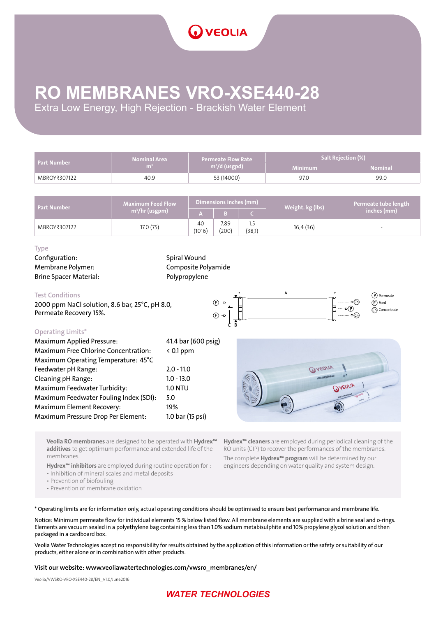# **RO MEMBRANES VRO-XSE440-28**

Extra Low Energy, High Rejection - Brackish Water Element

| <b>Part Number</b> | <b>Nominal Area</b> | <b>Permeate Flow Rate</b> | Salt Rejection (%) |                |  |  |
|--------------------|---------------------|---------------------------|--------------------|----------------|--|--|
|                    | m                   | $m^3/d$ (usgpd)           | <b>Minimum</b>     | <b>Nominal</b> |  |  |
| MBROYR307122       | 40.9                | 53 (14000)                | 97.0               | 99.0           |  |  |

| Part Number  | <b>Maximum Feed Flow</b> |              | Dimensions inches (mm) |        | Weight. kg (lbs) | Permeate tube length     |
|--------------|--------------------------|--------------|------------------------|--------|------------------|--------------------------|
|              | $m^3$ /hr (usgpm)        |              |                        |        |                  | inches (mm)              |
| MBROYR307122 | 17.0 (75)                | 40<br>(1016) | 7.89<br>(200)          | (38,1) | 16,4 (36)        | $\overline{\phantom{a}}$ |

#### Type

Configuration: Spiral Wound Brine Spacer Material: Polypropylene

Membrane Polymer: Composite Polyamide

#### Test Conditions

2000 ppm NaCl solution, 8.6 bar, 25°C, pH 8.0, Permeate Recovery 15%.



### Operating Limits\*

| 41.4 bar (600 psig) |
|---------------------|
| $< 0.1$ ppm         |
|                     |
| $2.0 - 11.0$        |
| $1.0 - 13.0$        |
| <b>1.0 NTU</b>      |
| 5.0                 |
| 19%                 |
| 1.0 bar (15 psi)    |
|                     |



Veolia RO membranes are designed to be operated with Hydrex<sup>™</sup> additives to get optimum performance and extended life of the membranes.

Hydrex<sup>™</sup> inhibitors are employed during routine operation for :

• Inhibition of mineral scales and metal deposits

• Prevention of biofouling

• Prevention of membrane oxidation

Hydrex<sup>™</sup> cleaners are employed during periodical cleaning of the RO units (CIP) to recover the performances of the membranes. The complete Hydrex<sup>™</sup> program will be determined by our engineers depending on water quality and system design.

\* Operating limits are for information only, actual operating conditions should be optimised to ensure best performance and membrane life.

Notice: Minimum permeate flow for individual elements 15 % below listed flow. All membrane elements are supplied with a brine seal and o-rings. Elements are vacuum sealed in a polyethylene bag containing less than 1.0% sodium metabisulphite and 10% propylene glycol solution and then packaged in a cardboard box.

Veolia Water Technologies accept no responsibility for results obtained by the application of this information or the safety or suitability of our products, either alone or in combination with other products.

#### Visit our website: www.veoliawatertechnologies.com/vwsro\_membranes/en/

Veolia/VWSRO-VRO-XSE440-28/EN\_V1.0/June2016